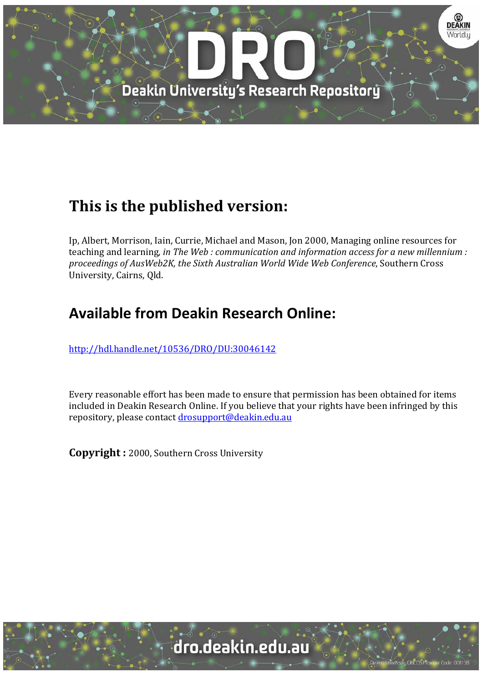

# **This is the published version:**

Ip, Albert, Morrison, Iain, Currie, Michael and Mason, Jon 2000, Managing online resources for teaching and learning*, in The Web : communication and information access for a new millennium : proceedings of AusWeb2K, the Sixth Australian World Wide Web Conference*, Southern Cross University, Cairns, Qld.

# **Available from Deakin Research Online:**

http://hdl.handle.net/10536/DRO/DU:30046142

Every reasonable effort has been made to ensure that permission has been obtained for items included in Deakin Research Online. If you believe that your rights have been infringed by this repository, please contact drosupport@deakin.edu.au

**Copyright** : 2000, Southern Cross University

University CRICOS Provider Code: 00113E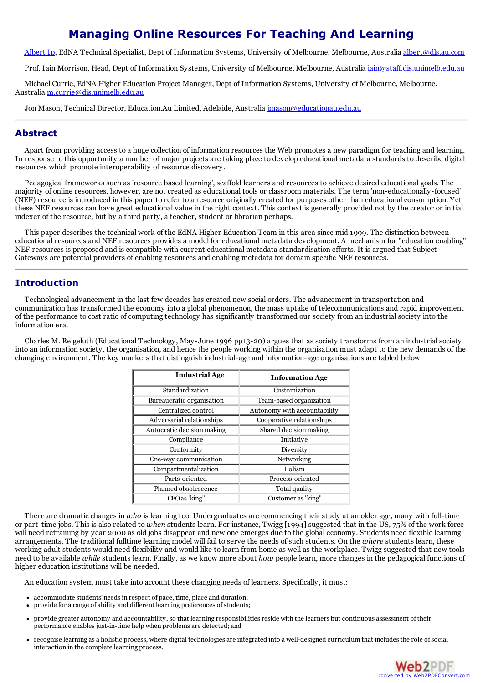## **Managing Online Resources For Teaching And Learning**

[Albert](mailto:albert@dls.au.com) Ip, EdNA Technical Specialist, Dept of Information Systems, University of Melbourne, Melbourne, Australia [albert@dls.au.com](mailto:albert@dls.au.com)

Prof. Iain Morrison, Head, Dept of Information Systems, University of Melbourne, Melbourne, Australia [iain@staff.dis.unimelb.edu.au](mailto:iain@staff.dis.unimelb.edu.au)

Michael Currie, EdNA Higher Education Project Manager, Dept of Information Systems, University of Melbourne, Melbourne, Australia [m.currie@dis.unimelb.edu.au](mailto:m.currie@dis.unimelb.edu.au)

Jon Mason, Technical Director, Education.Au Limited, Adelaide, Australia [jmason@educationau.edu.au](mailto:jmason@educationau.edu.au)

#### **Abstract**

Apart from providing access to a huge collection of information resources the Web promotes a new paradigm for teaching and learning. In response to this opportunity a number of major projects are taking place to develop educational metadata standards to describe digital resources which promote interoperability of resource discovery.

Pedagogical frameworks such as 'resource based learning', scaffold learners and resources to achieve desired educational goals. The majority of online resources, however, are not created as educational tools or classroom materials. The term 'non-educationally-focused' (NEF) resource is introduced in this paper to refer to a resource originally created for purposes other than educationalconsumption. Yet these NEF resources can have great educational value in the right context. This context is generally provided not by the creator or initial indexer of the resource, but by a third party, a teacher, student or librarian perhaps.

This paper describes the technical work of the EdNA Higher Education Team in this area since mid 1999. The distinction between educational resources and NEF resources provides a model for educational metadata development. A mechanism for "education enabling" NEF resources is proposed and is compatible with current educational metadata standardisation efforts. It is argued that Subject Gateways are potential providers of enabling resources and enabling metadata for domain specific NEF resources.

#### **Introduction**

Technological advancement in the last few decades has created new social orders. The advancement in transportation and communication has transformed the economy into a global phenomenon, the mass uptake of telecommunications and rapid improvement of the performance to cost ratio of computing technology has significantly transformed our society from an industrial society into the information era.

Charles M. Reigeluth (Educational Technology, May-June 1996 pp13-20) argues that as society transforms from an industrial society into an information society, the organisation, and hence the people working within the organisation must adapt to the new demands of the changing environment. The key markers that distinguish industrial-age and information-age organisations are tabled below.

| <b>Industrial Age</b>      | <b>Information Age</b>       |
|----------------------------|------------------------------|
| Standardization            | Customization                |
| Bureaucratic organisation  | Team-based organization      |
| Centralized control        | Autonomy with accountability |
| Adversarial relationships  | Cooperative relationships    |
| Autocratic decision making | Shared decision making       |
| Compliance                 | Initiative                   |
| Conformity                 | Diversity                    |
| One-way communication      | Networking                   |
| Compartmentalization       | Holism                       |
| Parts-oriented             | Process-oriented             |
| Planned obsolescence       | Total quality                |
| CEO as "king"              | Customer as "king"           |

There are dramatic changes in *who* is learning too. Undergraduates are commencing their study at an older age, many with full-time or part-time jobs. This is also related to *when* students learn. For instance, Twigg [1994] suggested that in the US, 75% of the work force will need retraining by year 2000 as old jobs disappear and new one emerges due to the global economy. Students need flexible learning arrangements. The traditional fulltime learning model will fail to serve the needs of such students. On the *where* students learn, these working adult students would need flexibility and would like to learn from home as well as the workplace. Twigg suggested that new tools need to be available *while* students learn. Finally, as we know more about *how* people learn, more changes in the pedagogical functions of higher education institutions will be needed.

An education system must take into account these changing needs of learners. Specifically, it must:

- accommodate students'needsin respect of pace, time, place and duration;
- provide for a range of ability and different learning preferences of students;
- provide greater autonomy and accountability, so that learning responsibilitiesreside with the learners but continuous assessment of their performance enables just-in-time help when problems are detected; and
- recognise learning as a holistic process, where digital technologies are integrated into a well-designed curriculum that includesthe role ofsocial interaction in the complete learning process.

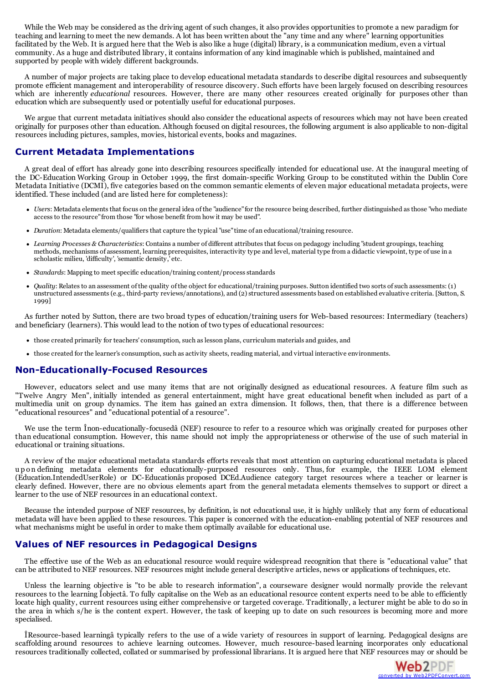While the Web may be considered as the driving agent of such changes, it also provides opportunities to promote a new paradigm for teaching and learning to meet the new demands. A lot has been written about the "any time and any where" learning opportunities facilitated by the Web. It is argued here that the Web is also like a huge (digital) library, is a communication medium, even a virtual community. As a huge and distributed library, it contains information of any kind imaginable which is published, maintained and supported by people with widely different backgrounds.

A number of major projects are taking place to develop educational metadata standards to describe digital resources and subsequently promote efficient management and interoperability of resource discovery. Such efforts have been largely focused on describing resources which are inherently *educational* resources. However, there are many other resources created originally for purposes other than education which are subsequently used or potentially useful for educational purposes.

We argue that current metadata initiatives should also consider the educational aspects of resources which may not have been created originally for purposes other than education. Although focused on digital resources, the following argument is also applicable to non-digital resources including pictures, samples, movies, historical events, books and magazines.

### **Current Metadata Implementations**

A great deal of effort has already gone into describing resources specifically intended for educational use. At the inaugural meeting of the DC-Education Working Group in October 1999, the first domain-specific Working Group to be constituted within the Dublin Core Metadata Initiative (DCMI), five categories based on the common semantic elements of eleven major educational metadata projects, were identified. These included (and are listed here for completeness):

- Users: Metadata elements that focus on the general idea of the "audience" for the resource being described, further distinguished as those "who mediate accessto the resource"from those "for whose benefit from how it may be used".
- *Duration*: Metadata elements/qualifiersthat capture the typical "use"time of an educational/training resource.
- Learning Processes & Characteristics: Contains a number of different attributes that focus on pedagogy including "student groupings, teaching methods, mechanisms of assessment, learning prerequisites, interactivity type scholastic milieu, 'difficulty', 'semantic density,' etc.
- Standards: Mapping to meet specific education/training content/process standards
- *Quality*: Relatesto an assessment of the quality of the object for educational/training purposes. Sutton identified two sorts ofsuch assessments: (1) unstructured assessments(e.g., third-party reviews/annotations), and (2)structured assessments based on established evaluative criteria. [Sutton, S. 1999]

As further noted by Sutton, there are two broad types of education/training users for Web-based resources: Intermediary (teachers) and beneficiary (learners). This would lead to the notion of two types of educational resources:

- those created primarily for teachers'consumption, such aslesson plans, curriculum materials and guides, and
- those created for the learner'sconsumption, such as activity sheets, reading material, and virtual interactive environments.

#### **Non-Educationally-Focused Resources**

However, educators select and use many items that are not originally designed as educational resources. A feature film such as "Twelve Angry Men", initially intended as general entertainment, might have great educational benefit when included as part of a multimedia unit on group dynamics. The item has gained an extra dimension. It follows, then, that there is a difference between "educational resources" and "educational potential of a resource".

We use the term Înon-educationally-focusedâ (NEF) resource to refer to a resource which was originally created for purposes other than educational consumption. However, this name should not imply the appropriateness or otherwise of the use of such material in educational or training situations.

A review of the major educational metadata standards efforts reveals that most attention on capturing educational metadata is placed u p on defining metadata elements for educationally-purposed resources only. Thus, for example, the IEEE LOM element (Education.IntendedUserRole) or DC-Educationâs proposed DCEd.Audience category target resources where a teacher or learner is clearly defined. However, there are no obvious elements apart from the general metadata elements themselves to support or direct a learner to the use of NEF resources in an educational context.

Because the intended purpose of NEF resources, by definition, is not educational use, it is highly unlikely that any form of educational metadata will have been applied to these resources. This paper is concerned with the education-enabling potential of NEF resources and what mechanisms might be useful in order to make them optimally available for educational use.

#### **Values of NEF resources in Pedagogical Designs**

The effective use of the Web as an educational resource would require widespread recognition that there is "educational value" that can be attributed to NEF resources. NEF resources might include general descriptive articles, news or applications of techniques, etc.

Unless the learning objective is "to be able to research information", a courseware designer would normally provide the relevant resources to the learning Îobjectâ. To fully capitalise on the Web as an educational resource content experts need to be able to efficiently locate high quality, current resources using either comprehensive or targeted coverage. Traditionally, a lecturer might be able to do so in the area in which s/he is the content expert. However, the task of keeping up to date on such resources is becoming more and more specialised.

ÎResource-based learningâ typically refers to the use of a wide variety of resources in support of learning. Pedagogical designs are scaffolding around resources to achieve learning outcomes. However, much resource-based learning incorporates only educational resources traditionally collected, collated or summarised by professional librarians. It is argued here that NEF resources may or should be

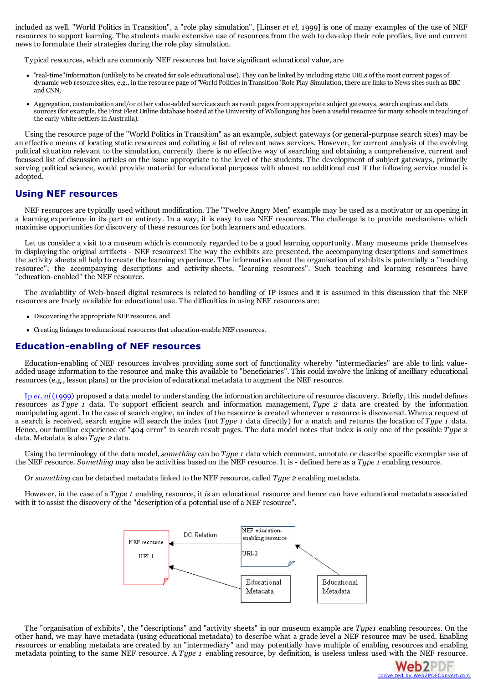included as well. "World Politics in Transition", a "role play simulation", [Linser *et el,* 1999] is one of many examples of the use of NEF resources to support learning. The students made extensive use of resources from the web to develop their role profiles, live and current news to formulate their strategies during the role play simulation.

Typical resources, which are commonly NEF resources but have significant educational value, are

- "real-time"information (unlikely to be created for sole educational use). They can be linked by including static URLs of the most current pages of dynamic web resource sites, e.g., in the resource page of"World Politicsin Transition"Role Play Simulation, there are linksto Newssitessuch as BBC and CNN,
- Aggregation, customization and/or other value-added services such as result pages from appropriate subject gateways, search engines and data sources (for example, the First Fleet Online database hosted at the University of Wollongong has been a useful resource for many schools in teaching of the early white settlers in Australia).

Using the resource page of the "World Politics in Transition" as an example, subject gateways (or general-purpose search sites) may be an effective means of locating static resources and collating a list of relevant news services. However, for current analysis of the evolving political situation relevant to the simulation, currently there is no effective way of searching and obtaining a comprehensive, current and focussed list of discussion articles on the issue appropriate to the level of the students. The development of subject gateways, primarily serving political science, would provide material for educational purposes with almost no additional cost if the following service model is adopted.

#### **Using NEF resources**

NEF resources are typically used without modification. The "Twelve Angry Men" example may be used as a motivator or an opening in a learning experience in its part or entirety. In a way, it is easy to use NEF resources. The challenge is to provide mechanisms which maximise opportunities for discovery of these resources for both learners and educators.

Let us consider a visit to a museum which is commonly regarded to be a good learning opportunity. Many museums pride themselves in displaying the original artifacts - NEF resources! The way the exhibits are presented, the accompanying descriptions and sometimes the activity sheets all help to create the learning experience. The information about the organisation of exhibits is potentially a "teaching resource"; the accompanying descriptions and activity sheets, "learning resources". Such teaching and learning resources have "education-enabled" the NEF resource.

The availability of Web-based digital resources is related to handling of IP issues and it is assumed in this discussion that the NEF resources are freely available for educational use. The difficulties in using NEF resources are:

- Discovering the appropriate NEF resource, and
- Creating linkages to educational resources that education-enable NEF resources.

#### **Education-enabling of NEF resources**

Education-enabling of NEF resources involves providing some sort of functionality whereby "intermediaries" are able to link valueadded usage information to the resource and make this available to "beneficiaries". This could involve the linking of ancilliary educational resources (e.g., lesson plans) or the provision of educational metadata to augment the NEF resource.

Ip *et*. *al* [\(1999](http://www.dls.au.com/metadata/DataModel.html)) proposed a data model to understanding the information architecture of resource discovery. Briefly, this model defines resources as *Type 1* data. To support efficient search and information management, *Type 2* data are created by the information manipulating agent. In the case of search engine, an index of the resource is created whenever a resource is discovered. When a request of a search is received, search engine will search the index (not *Type 1* data directly) for a match and returns the location of *Type 1* data. Hence, our familiar experience of "404 error" in search result pages. The data model notes that index is only one of the possible *Type 2* data. Metadata is also *Type 2* data.

Using the terminology of the data model, *something* can be *Type 1* data which comment, annotate or describe specific exemplar use of the NEF resource. *Something* may also be activities based on the NEF resource. It is - defined here as a *Type 1* enabling resource.

Or *something* can be detached metadata linked to the NEF resource, called *Type 2* enabling metadata.

However, in the case of a *Type 1* enabling resource, it *is* an educational resource and hence can have educational metadata associated with it to assist the discovery of the "description of a potential use of a NEF resource".



The "organisation of exhibits", the "descriptions" and "activity sheets" in our museum example are *Type1* enabling resources. On the other hand, we may have metadata (using educational metadata) to describe what a grade level a NEF resource may be used. Enabling resources or enabling metadata are created by an "intermediary" and may potentially have multiple of enabling resources and enabling metadata pointing to the same NEF resource. A *Type 1* enabling resource, by definition, is useless unless used with the NEF resource.

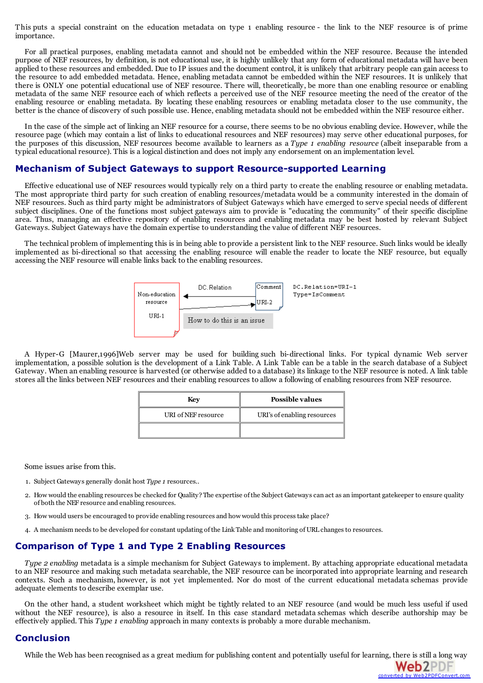This puts a special constraint on the education metadata on type 1 enabling resource - the link to the NEF resource is of prime importance.

For all practical purposes, enabling metadata cannot and should not be embedded within the NEF resource. Because the intended purpose of NEF resources, by definition, is not educational use, it is highly unlikely that any form of educational metadata will have been applied to these resources and embedded. Due to IP issues and the document control, it is unlikely that arbitrary people can gain access to the resource to add embedded metadata. Hence, enabling metadata cannot be embedded within the NEF resources. It is unlikely that there is ONLY one potential educational use of NEF resource. There will, theoretically, be more than one enabling resource or enabling metadata of the same NEF resource each of which reflects a perceived use of the NEF resource meeting the need of the creator of the enabling resource or enabling metadata. By locating these enabling resources or enabling metadata closer to the use community, the better is the chance of discovery of such possible use. Hence, enabling metadata should not be embedded within the NEF resource either.

In the case of the simple act of linking an NEF resource for a course, there seems to be no obvious enabling device. However, while the resource page (which may contain a list of links to educational resources and NEF resources) may serve other educational purposes, for the purposes of this discussion, NEF resources become available to learners as a *Type 1 enabling resource* (albeit inseparable from a typical educational resource). This is a logical distinction and does not imply any endorsement on an implementation level.

#### **Mechanism of Subject Gateways to support Resource-supported Learning**

Effective educational use of NEF resources would typically rely on a third party to create the enabling resource or enabling metadata. The most appropriate third party for such creation of enabling resources/metadata would be a community interested in the domain of NEF resources. Such as third party might be administrators of Subject Gateways which have emerged to serve special needs of different subject disciplines. One of the functions most subject gateways aim to provide is "educating the community" of their specific discipline area. Thus, managing an effective repository of enabling resources and enabling metadata may be best hosted by relevant Subject Gateways. Subject Gateways have the domain expertise to understanding the value of different NEF resources.

The technical problem of implementing this is in being able to provide a persistent link to the NEF resource. Such links would be ideally implemented as bi-directional so that accessing the enabling resource will enable the reader to locate the NEF resource, but equally accessing the NEF resource will enable links back to the enabling resources.



A Hyper-G [Maurer,1996]Web server may be used for building such bi-directional links. For typical dynamic Web server implementation, a possible solution is the development of a Link Table. A Link Table can be a table in the search database of a Subject Gateway. When an enabling resource is harvested (or otherwise added to a database) its linkage to the NEF resource is noted. A link table stores all the links between NEF resources and their enabling resources to allow a following of enabling resources from NEF resource.

| Kev                 | Possible values             |
|---------------------|-----------------------------|
| URI of NEF resource | URI's of enabling resources |
|                     |                             |

Some issues arise from this.

- 1. Subject Gateways generally donât host *Type 1* resources..
- 2. How would the enabling resources be checked for Quality? The expertise of the Subject Gatewayscan act as an important gatekeeper to ensure quality of both the NEF resource and enabling resources.
- 3. How would users be encouraged to provide enabling resources and how would this processtake place?
- 4. A mechanism needsto be developed for constant updating of the Link Table and monitoring ofURL changesto resources.

#### **Comparison of Type 1 and Type 2 Enabling Resources**

*Type 2 enabling* metadata is a simple mechanism for Subject Gateways to implement. By attaching appropriate educational metadata to an NEF resource and making such metadata searchable, the NEF resource can be incorporated into appropriate learning and research contexts. Such a mechanism, however, is not yet implemented. Nor do most of the current educational metadata schemas provide adequate elements to describe exemplar use.

On the other hand, a student worksheet which might be tightly related to an NEF resource (and would be much less useful if used without the NEF resource), is also a resource in itself. In this case standard metadata schemas which describe authorship may be effectively applied. This *Type 1 enabling* approach in many contexts is probably a more durable mechanism.

#### **Conclusion**

While the Web has been recognised as a great medium for publishing content and potentially useful for learning, there is still a long way

converted by [Web2PDFConvert.com](http://www.web2pdfconvert.com?ref=PDF)

**Web2PDF**